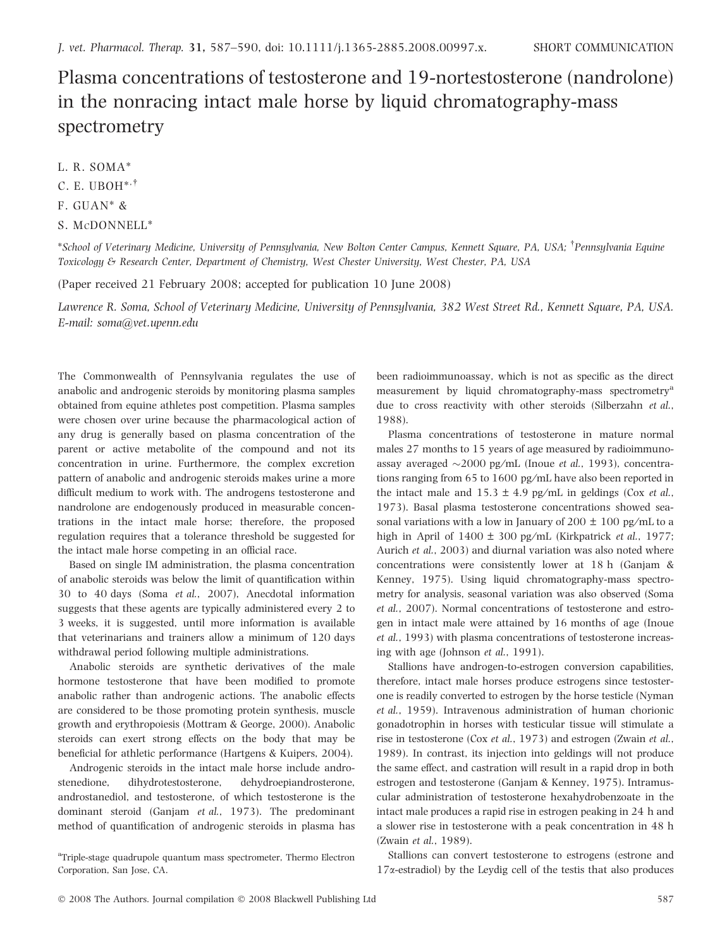## Plasma concentrations of testosterone and 19-nortestosterone (nandrolone) in the nonracing intact male horse by liquid chromatography-mass spectrometry

- L. R. SOMA\*
- C. E. UBOH $^{*,\dagger}$
- F. GUAN\* &
- S. MCDONNELL\*

 $^*$ School of Veterinary Medicine, University of Pennsylvania, New Bolton Center Campus, Kennett Square, PA, USA;  $^\dagger$ Pennsylvania Equine Toxicology & Research Center, Department of Chemistry, West Chester University, West Chester, PA, USA

(Paper received 21 February 2008; accepted for publication 10 June 2008)

Lawrence R. Soma, School of Veterinary Medicine, University of Pennsylvania, 382 West Street Rd., Kennett Square, PA, USA. E-mail: soma@vet.upenn.edu

The Commonwealth of Pennsylvania regulates the use of anabolic and androgenic steroids by monitoring plasma samples obtained from equine athletes post competition. Plasma samples were chosen over urine because the pharmacological action of any drug is generally based on plasma concentration of the parent or active metabolite of the compound and not its concentration in urine. Furthermore, the complex excretion pattern of anabolic and androgenic steroids makes urine a more difficult medium to work with. The androgens testosterone and nandrolone are endogenously produced in measurable concentrations in the intact male horse; therefore, the proposed regulation requires that a tolerance threshold be suggested for the intact male horse competing in an official race.

Based on single IM administration, the plasma concentration of anabolic steroids was below the limit of quantification within 30 to 40 days (Soma et al., 2007), Anecdotal information suggests that these agents are typically administered every 2 to 3 weeks, it is suggested, until more information is available that veterinarians and trainers allow a minimum of 120 days withdrawal period following multiple administrations.

Anabolic steroids are synthetic derivatives of the male hormone testosterone that have been modified to promote anabolic rather than androgenic actions. The anabolic effects are considered to be those promoting protein synthesis, muscle growth and erythropoiesis (Mottram & George, 2000). Anabolic steroids can exert strong effects on the body that may be beneficial for athletic performance (Hartgens & Kuipers, 2004).

Androgenic steroids in the intact male horse include androstenedione, dihydrotestosterone, dehydroepiandrosterone, androstanediol, and testosterone, of which testosterone is the dominant steroid (Ganjam et al., 1973). The predominant method of quantification of androgenic steroids in plasma has been radioimmunoassay, which is not as specific as the direct measurement by liquid chromatography-mass spectrometry<sup>a</sup> due to cross reactivity with other steroids (Silberzahn et al., 1988).

Plasma concentrations of testosterone in mature normal males 27 months to 15 years of age measured by radioimmunoassay averaged  $\sim$ 2000 pg/mL (Inoue *et al.*, 1993), concentrations ranging from 65 to 1600 pg ⁄mL have also been reported in the intact male and  $15.3 \pm 4.9$  pg/mL in geldings (Cox *et al.*, 1973). Basal plasma testosterone concentrations showed seasonal variations with a low in January of 200  $\pm$  100 pg/mL to a high in April of  $1400 \pm 300$  pg/mL (Kirkpatrick *et al.*, 1977; Aurich et al., 2003) and diurnal variation was also noted where concentrations were consistently lower at 18 h (Ganjam & Kenney, 1975). Using liquid chromatography-mass spectrometry for analysis, seasonal variation was also observed (Soma et al., 2007). Normal concentrations of testosterone and estrogen in intact male were attained by 16 months of age (Inoue et al., 1993) with plasma concentrations of testosterone increasing with age (Johnson et al., 1991).

Stallions have androgen-to-estrogen conversion capabilities, therefore, intact male horses produce estrogens since testosterone is readily converted to estrogen by the horse testicle (Nyman et al., 1959). Intravenous administration of human chorionic gonadotrophin in horses with testicular tissue will stimulate a rise in testosterone (Cox et al., 1973) and estrogen (Zwain et al., 1989). In contrast, its injection into geldings will not produce the same effect, and castration will result in a rapid drop in both estrogen and testosterone (Ganjam & Kenney, 1975). Intramuscular administration of testosterone hexahydrobenzoate in the intact male produces a rapid rise in estrogen peaking in 24 h and a slower rise in testosterone with a peak concentration in 48 h (Zwain et al., 1989).

Stallions can convert testosterone to estrogens (estrone and 17a-estradiol) by the Leydig cell of the testis that also produces

<sup>&</sup>lt;sup>a</sup>Triple-stage quadrupole quantum mass spectrometer, Thermo Electron Corporation, San Jose, CA.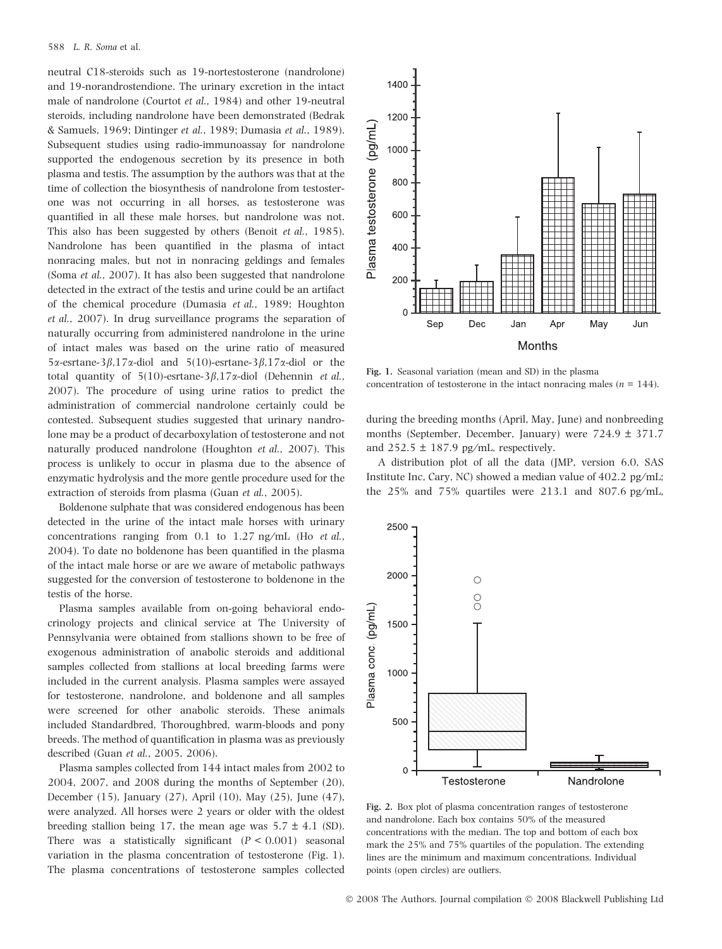neutral C18-steroids such as 19-nortestosterone (nandrolone) and 19-norandrostendione. The urinary excretion in the intact male of nandrolone (Courtot et al., 1984) and other 19-neutral steroids, including nandrolone have been demonstrated (Bedrak & Samuels, 1969; Dintinger et al., 1989; Dumasia et al., 1989). Subsequent studies using radio-immunoassay for nandrolone supported the endogenous secretion by its presence in both plasma and testis. The assumption by the authors was that at the time of collection the biosynthesis of nandrolone from testosterone was not occurring in all horses, as testosterone was quantified in all these male horses, but nandrolone was not. This also has been suggested by others (Benoit et al., 1985). Nandrolone has been quantified in the plasma of intact nonracing males, but not in nonracing geldings and females (Soma et al., 2007). It has also been suggested that nandrolone detected in the extract of the testis and urine could be an artifact of the chemical procedure (Dumasia et al., 1989; Houghton et al., 2007). In drug surveillance programs the separation of naturally occurring from administered nandrolone in the urine of intact males was based on the urine ratio of measured  $5\alpha$ -esrtane-3 $\beta$ ,17 $\alpha$ -diol and  $5(10)$ -esrtane-3 $\beta$ ,17 $\alpha$ -diol or the total quantity of 5(10)-esrtane-3 $\beta$ ,17 $\alpha$ -diol (Dehennin et al., 2007). The procedure of using urine ratios to predict the administration of commercial nandrolone certainly could be contested. Subsequent studies suggested that urinary nandrolone may be a product of decarboxylation of testosterone and not naturally produced nandrolone (Houghton et al., 2007). This process is unlikely to occur in plasma due to the absence of enzymatic hydrolysis and the more gentle procedure used for the extraction of steroids from plasma (Guan et al., 2005).

Boldenone sulphate that was considered endogenous has been detected in the urine of the intact male horses with urinary concentrations ranging from 0.1 to  $1.27$  ng/mL (Ho *et al.*, 2004). To date no boldenone has been quantified in the plasma of the intact male horse or are we aware of metabolic pathways suggested for the conversion of testosterone to boldenone in the testis of the horse.

Plasma samples available from on-going behavioral endocrinology projects and clinical service at The University of Pennsylvania were obtained from stallions shown to be free of exogenous administration of anabolic steroids and additional samples collected from stallions at local breeding farms were included in the current analysis. Plasma samples were assayed for testosterone, nandrolone, and boldenone and all samples were screened for other anabolic steroids. These animals included Standardbred, Thoroughbred, warm-bloods and pony breeds. The method of quantification in plasma was as previously described (Guan et al., 2005, 2006).

Plasma samples collected from 144 intact males from 2002 to 2004, 2007, and 2008 during the months of September (20), December (15), January (27), April (10), May (25), June (47), were analyzed. All horses were 2 years or older with the oldest breeding stallion being 17, the mean age was  $5.7 \pm 4.1$  (SD). There was a statistically significant  $(P < 0.001)$  seasonal variation in the plasma concentration of testosterone (Fig. 1). The plasma concentrations of testosterone samples collected



Fig. 1. Seasonal variation (mean and SD) in the plasma concentration of testosterone in the intact nonracing males ( $n = 144$ ).

during the breeding months (April, May, June) and nonbreeding months (September, December, January) were 724.9 ± 371.7 and  $252.5 \pm 187.9$  pg/mL, respectively.

A distribution plot of all the data (JMP, version 6.0, SAS Institute Inc, Cary, NC) showed a median value of  $402.2$  pg/mL; the  $25\%$  and  $75\%$  quartiles were  $213.1$  and  $807.6$  pg/mL,



Fig. 2. Box plot of plasma concentration ranges of testosterone and nandrolone. Each box contains 50% of the measured concentrations with the median. The top and bottom of each box mark the 25% and 75% quartiles of the population. The extending lines are the minimum and maximum concentrations. Individual points (open circles) are outliers.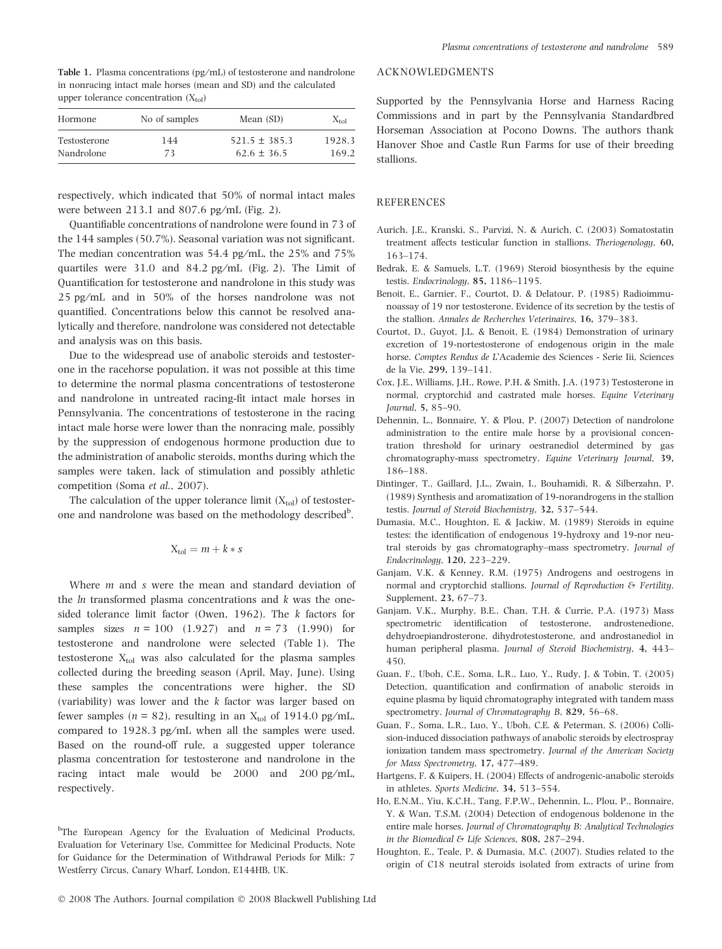Table 1. Plasma concentrations (pg/mL) of testosterone and nandrolone in nonracing intact male horses (mean and SD) and the calculated upper tolerance concentration  $(X_{tol})$ 

| Hormone      | No of samples | Mean (SD)         | $X_{\text{tol}}$ |
|--------------|---------------|-------------------|------------------|
| Testosterone | 144           | $521.5 \pm 385.3$ | 1928.3           |
| Nandrolone   | 73            | $62.6 \pm 36.5$   | 169.2            |

respectively, which indicated that 50% of normal intact males were between  $213.1$  and  $807.6$  pg/mL (Fig. 2).

Quantifiable concentrations of nandrolone were found in 73 of the 144 samples (50.7%). Seasonal variation was not significant. The median concentration was  $54.4$  pg/mL, the  $25\%$  and  $75\%$ quartiles were  $31.0$  and  $84.2$  pg/mL (Fig. 2). The Limit of Quantification for testosterone and nandrolone in this study was 25 pg ⁄mL and in 50% of the horses nandrolone was not quantified. Concentrations below this cannot be resolved analytically and therefore, nandrolone was considered not detectable and analysis was on this basis.

Due to the widespread use of anabolic steroids and testosterone in the racehorse population, it was not possible at this time to determine the normal plasma concentrations of testosterone and nandrolone in untreated racing-fit intact male horses in Pennsylvania. The concentrations of testosterone in the racing intact male horse were lower than the nonracing male, possibly by the suppression of endogenous hormone production due to the administration of anabolic steroids, months during which the samples were taken, lack of stimulation and possibly athletic competition (Soma et al., 2007).

The calculation of the upper tolerance limit  $(X_{tol})$  of testosterone and nandrolone was based on the methodology described<sup>b</sup>.

$$
X_{\text{tol}} = m + k * s
$$

Where *m* and *s* were the mean and standard deviation of the ln transformed plasma concentrations and k was the onesided tolerance limit factor (Owen, 1962). The k factors for samples sizes  $n = 100$  (1.927) and  $n = 73$  (1.990) for testosterone and nandrolone were selected (Table 1). The testosterone  $X_{tol}$  was also calculated for the plasma samples collected during the breeding season (April, May, June). Using these samples the concentrations were higher, the SD (variability) was lower and the k factor was larger based on fewer samples ( $n = 82$ ), resulting in an  $X_{\text{tol}}$  of 1914.0 pg/mL, compared to 1928.3 pg/mL when all the samples were used. Based on the round-off rule, a suggested upper tolerance plasma concentration for testosterone and nandrolone in the racing intact male would be  $2000$  and  $200$  pg/mL, respectively.

<sup>b</sup>The European Agency for the Evaluation of Medicinal Products, Evaluation for Veterinary Use, Committee for Medicinal Products, Note for Guidance for the Determination of Withdrawal Periods for Milk: 7 Westferry Circus, Canary Wharf, London, E144HB, UK.

## ACKNOWLEDGMENTS

Supported by the Pennsylvania Horse and Harness Racing Commissions and in part by the Pennsylvania Standardbred Horseman Association at Pocono Downs. The authors thank Hanover Shoe and Castle Run Farms for use of their breeding stallions.

## **REFERENCES**

- Aurich, J.E., Kranski, S., Parvizi, N. & Aurich, C. (2003) Somatostatin treatment affects testicular function in stallions. Theriogenology, 60, 163–174.
- Bedrak, E. & Samuels, L.T. (1969) Steroid biosynthesis by the equine testis. Endocrinology, 85, 1186–1195.
- Benoit, E., Garnier, F., Courtot, D. & Delatour, P. (1985) Radioimmunoassay of 19 nor testosterone. Evidence of its secretion by the testis of the stallion. Annales de Recherches Veterinaires, 16, 379–383.
- Courtot, D., Guyot, J.L. & Benoit, E. (1984) Demonstration of urinary excretion of 19-nortestosterone of endogenous origin in the male horse. Comptes Rendus de L'Academie des Sciences - Serie Iii, Sciences de la Vie, 299, 139–141.
- Cox, J.E., Williams, J.H., Rowe, P.H. & Smith, J.A. (1973) Testosterone in normal, cryptorchid and castrated male horses. Equine Veterinary Journal, 5, 85–90.
- Dehennin, L., Bonnaire, Y. & Plou, P. (2007) Detection of nandrolone administration to the entire male horse by a provisional concentration threshold for urinary oestranediol determined by gas chromatography-mass spectrometry. Equine Veterinary Journal, 39, 186–188.
- Dintinger, T., Gaillard, J.L., Zwain, I., Bouhamidi, R. & Silberzahn, P. (1989) Synthesis and aromatization of 19-norandrogens in the stallion testis. Journal of Steroid Biochemistry, 32, 537–544.
- Dumasia, M.C., Houghton, E. & Jackiw, M. (1989) Steroids in equine testes: the identification of endogenous 19-hydroxy and 19-nor neutral steroids by gas chromatography–mass spectrometry. Journal of Endocrinology, 120, 223–229.
- Ganjam, V.K. & Kenney, R.M. (1975) Androgens and oestrogens in normal and cryptorchid stallions. Journal of Reproduction & Fertility. Supplement, 23, 67–73.
- Ganjam, V.K., Murphy, B.E., Chan, T.H. & Currie, P.A. (1973) Mass spectrometric identification of testosterone, androstenedione, dehydroepiandrosterone, dihydrotestosterone, and androstanediol in human peripheral plasma. Journal of Steroid Biochemistry, 4, 443– 450.
- Guan, F., Uboh, C.E., Soma, L.R., Luo, Y., Rudy, J. & Tobin, T. (2005) Detection, quantification and confirmation of anabolic steroids in equine plasma by liquid chromatography integrated with tandem mass spectrometry. Journal of Chromatography B, 829, 56-68.
- Guan, F., Soma, L.R., Luo, Y., Uboh, C.E. & Peterman, S. (2006) Collision-induced dissociation pathways of anabolic steroids by electrospray ionization tandem mass spectrometry. Journal of the American Society for Mass Spectrometry, 17, 477–489.
- Hartgens, F. & Kuipers, H. (2004) Effects of androgenic-anabolic steroids in athletes. Sports Medicine, 34, 513–554.
- Ho, E.N.M., Yiu, K.C.H., Tang, F.P.W., Dehennin, L., Plou, P., Bonnaire, Y. & Wan, T.S.M. (2004) Detection of endogenous boldenone in the entire male horses. Journal of Chromatography B: Analytical Technologies in the Biomedical & Life Sciences, 808, 287–294.
- Houghton, E., Teale, P. & Dumasia, M.C. (2007). Studies related to the origin of C18 neutral steroids isolated from extracts of urine from